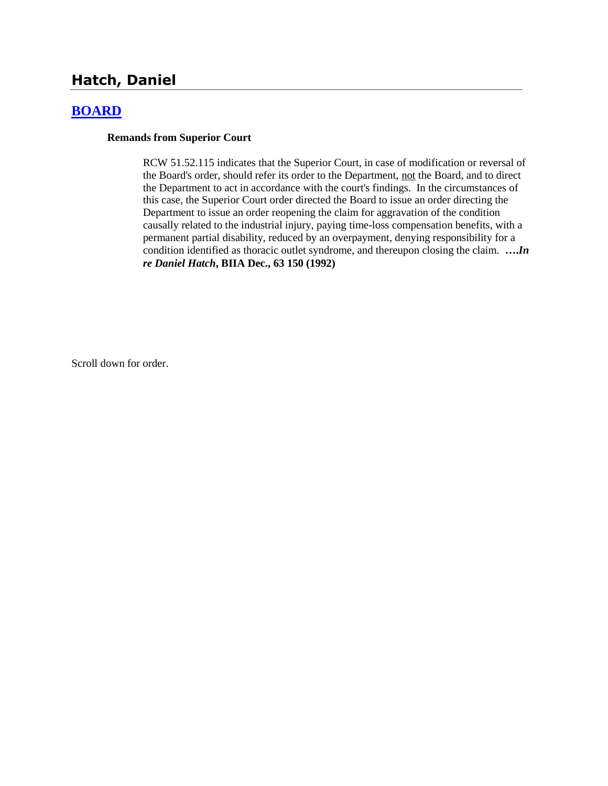# **Hatch, Daniel**

## **[BOARD](http://www.biia.wa.gov/SDSubjectIndex.html#BOARD)**

#### **Remands from Superior Court**

RCW 51.52.115 indicates that the Superior Court, in case of modification or reversal of the Board's order, should refer its order to the Department, not the Board, and to direct the Department to act in accordance with the court's findings. In the circumstances of this case, the Superior Court order directed the Board to issue an order directing the Department to issue an order reopening the claim for aggravation of the condition causally related to the industrial injury, paying time-loss compensation benefits, with a permanent partial disability, reduced by an overpayment, denying responsibility for a condition identified as thoracic outlet syndrome, and thereupon closing the claim. **….***In re Daniel Hatch***, BIIA Dec., 63 150 (1992)** 

Scroll down for order.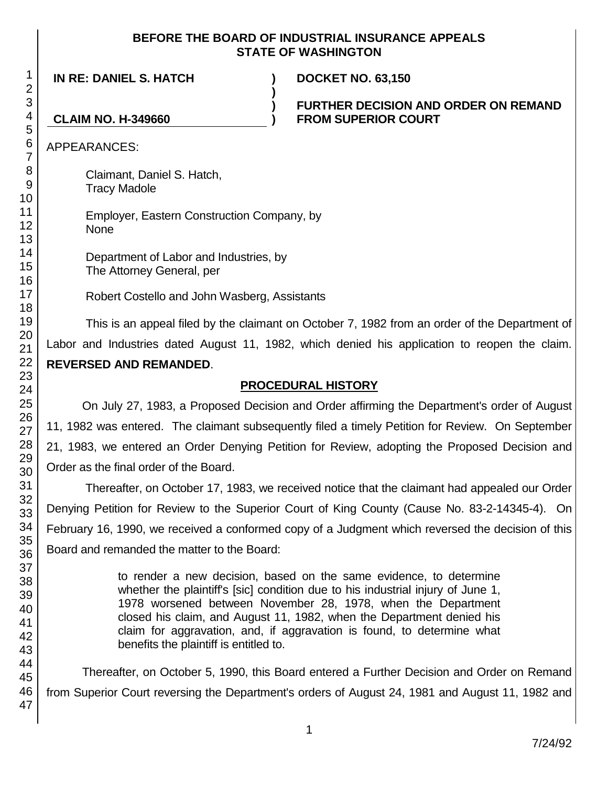#### **BEFORE THE BOARD OF INDUSTRIAL INSURANCE APPEALS STATE OF WASHINGTON**

**)**

**) )**

**IN RE: DANIEL S. HATCH ) DOCKET NO. 63,150**

**FURTHER DECISION AND ORDER ON REMAND FROM SUPERIOR COURT**

**CLAIM NO. H-349660**

APPEARANCES:

Claimant, Daniel S. Hatch, Tracy Madole

Employer, Eastern Construction Company, by None

Department of Labor and Industries, by The Attorney General, per

Robert Costello and John Wasberg, Assistants

This is an appeal filed by the claimant on October 7, 1982 from an order of the Department of Labor and Industries dated August 11, 1982, which denied his application to reopen the claim. **REVERSED AND REMANDED**.

## **PROCEDURAL HISTORY**

On July 27, 1983, a Proposed Decision and Order affirming the Department's order of August 11, 1982 was entered. The claimant subsequently filed a timely Petition for Review. On September 21, 1983, we entered an Order Denying Petition for Review, adopting the Proposed Decision and Order as the final order of the Board.

Thereafter, on October 17, 1983, we received notice that the claimant had appealed our Order Denying Petition for Review to the Superior Court of King County (Cause No. 83-2-14345-4). On February 16, 1990, we received a conformed copy of a Judgment which reversed the decision of this Board and remanded the matter to the Board:

> to render a new decision, based on the same evidence, to determine whether the plaintiff's [sic] condition due to his industrial injury of June 1, 1978 worsened between November 28, 1978, when the Department closed his claim, and August 11, 1982, when the Department denied his claim for aggravation, and, if aggravation is found, to determine what benefits the plaintiff is entitled to.

Thereafter, on October 5, 1990, this Board entered a Further Decision and Order on Remand from Superior Court reversing the Department's orders of August 24, 1981 and August 11, 1982 and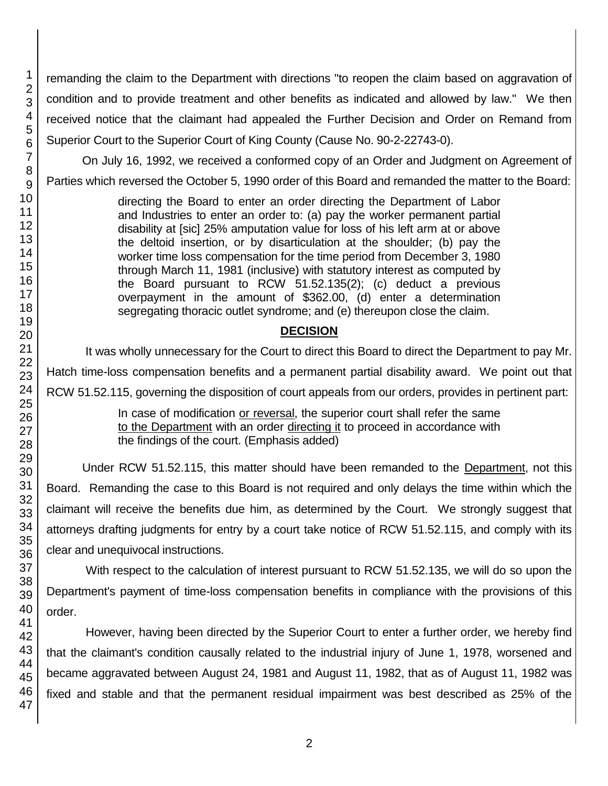remanding the claim to the Department with directions "to reopen the claim based on aggravation of condition and to provide treatment and other benefits as indicated and allowed by law." We then received notice that the claimant had appealed the Further Decision and Order on Remand from Superior Court to the Superior Court of King County (Cause No. 90-2-22743-0).

On July 16, 1992, we received a conformed copy of an Order and Judgment on Agreement of Parties which reversed the October 5, 1990 order of this Board and remanded the matter to the Board:

> directing the Board to enter an order directing the Department of Labor and Industries to enter an order to: (a) pay the worker permanent partial disability at [sic] 25% amputation value for loss of his left arm at or above the deltoid insertion, or by disarticulation at the shoulder; (b) pay the worker time loss compensation for the time period from December 3, 1980 through March 11, 1981 (inclusive) with statutory interest as computed by the Board pursuant to RCW 51.52.135(2); (c) deduct a previous overpayment in the amount of \$362.00, (d) enter a determination segregating thoracic outlet syndrome; and (e) thereupon close the claim.

## **DECISION**

It was wholly unnecessary for the Court to direct this Board to direct the Department to pay Mr. Hatch time-loss compensation benefits and a permanent partial disability award. We point out that RCW 51.52.115, governing the disposition of court appeals from our orders, provides in pertinent part:

In case of modification or reversal, the superior court shall refer the same to the Department with an order directing it to proceed in accordance with the findings of the court. (Emphasis added)

Under RCW 51.52.115, this matter should have been remanded to the Department, not this Board. Remanding the case to this Board is not required and only delays the time within which the claimant will receive the benefits due him, as determined by the Court. We strongly suggest that attorneys drafting judgments for entry by a court take notice of RCW 51.52.115, and comply with its clear and unequivocal instructions.

With respect to the calculation of interest pursuant to RCW 51.52.135, we will do so upon the Department's payment of time-loss compensation benefits in compliance with the provisions of this order.

However, having been directed by the Superior Court to enter a further order, we hereby find that the claimant's condition causally related to the industrial injury of June 1, 1978, worsened and became aggravated between August 24, 1981 and August 11, 1982, that as of August 11, 1982 was fixed and stable and that the permanent residual impairment was best described as 25% of the

1